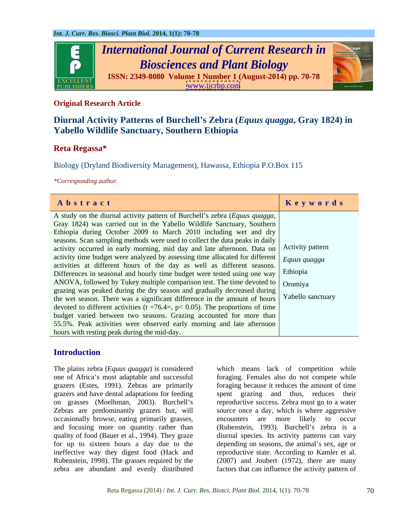

# **Original Research Article**

# **Diurnal Activity Patterns of Burchell s Zebra (***Equus quagga***, Gray 1824) in Yabello Wildlife Sanctuary, Southern Ethiopia**

# **Reta Regassa\***

Biology (Dryland Biodiversity Management), Hawassa, Ethiopia P.O.Box 115

*\*Corresponding author.*

| Abstract                                                                                    | Keywords |
|---------------------------------------------------------------------------------------------|----------|
| A study on the diurnal activity pattern of Burchell's zebra (Equus quagga,                  |          |
| Gray 1824) was carried out in the Yabello Wildlife Sanctuary, Southern                      |          |
| Ethiopia during October 2009 to March 2010 including wet and dry                            |          |
| seasons. Scan sampling methods were used to collect the data peaks in daily                 |          |
| activity occurred in early morning, mid day and late afternoon. Data on Activity pattern    |          |
| activity time budget were analyzed by assessing time allocated for different Equas quagga   |          |
| activities at different hours of the day as well as different seasons.                      |          |
| Differences in seasonal and hourly time budget were tested using one way Ethiopia           |          |
| ANOVA, followed by Tukey multiple comparison test. The time devoted to $\int$ Oromiya       |          |
| grazing was peaked during the dry season and gradually decreased during                     |          |
| the wet season. There was a significant difference in the amount of hours Yabello sanctuary |          |
| devoted to different activities ( $t = 76.4$ , $p < 0.05$ ). The proportions of time        |          |
| budget varied between two seasons. Grazing accounted for more than                          |          |
| 55.5%. Peak activities were observed early morning and late afternoon                       |          |
| hours with resting peak during the mid-day.                                                 |          |

# **Introduction**

The plains zebra (*Equus quagga*) is considered which means lack of competition while one of Africa's most adaptable and successful foraging. Females also do not compete while grazers (Estes, 1991). Zebras are primarily foraging because it reduces the amount of time grazers and have dental adaptations for feeding spent grazing and thus, reduces their on grasses (Moelhman, 2003). Burchell's reproductive success. Zebra must go to a water Zebras are predominantly grazers but, will source once a day, which is where aggressive occasionally browse, eating primarily grasses, and focusing more on quantity rather than (Rubenstein, 1993). Burchell's zebra is a quality of food (Bauer et al., 1994). They graze diurnal species. Its activity patterns can vary for up to sixteen hours a day due to the depending on seasons, the animal's sex, age or ineffective way they digest food (Hack and Rubenstein, 1998). The grasses required by the (2007) and Joubert (1972), there are many zebra are abundant and evenly distributed factors that can influence the activity pattern of

spent grazing and thus, reduces encounters are more likely to occur reproductive state. According to Kamler et al.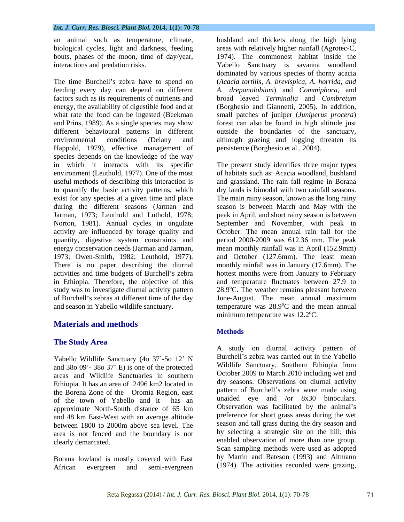The time Burchell's zebra have to spend on (*Acacia tortilis, A. brevispica, A. horrida, and* feeding every day can depend on different *A. drepanolobium*) and *Commiphora*, and factors such as its requirements of nutrients and broad leaved *Terminalia* and *Combretum* energy, the availability of digestible food and at (Borghesio and Giannetti, 2005). In addition, what rate the food can be ingested (Beekman small patches of juniper (*Juniperus procera*) and Prins, 1989). As a single species may show forest can also be found in high altitude just different behavioural patterns in different outside the boundaries of the sanctuary, environmental conditions (Delany and although grazing and logging threaten its Happold, 1979), effective management of species depends on the knowledge of the way to quantify the basic activity patterns, which exist for any species at a given time and place<br>during the different seasons (Jarman and activity are influenced by forage quality and in Ethiopia. Therefore, the objective of this of Burchell's zebras at different time of the day June-August. The mean annual maximum

# **Materials and methods**

# **The Study Area**

Yabello Wildlife Sanctuary (4o 37'-5o 12' N<br>and 380.00'-380.37' E) is one of the protected Wildlife Sanctuary, Southern Ethiopia from and  $380\,09'$ -  $380\,37'$  E) is one of the protected areas and Wildlife Sanctuaries in southern Ethiopia. It has an area of 2496 km2 located in the Borena Zone of the Oromia Region, east of the town of Yabello and it has an approximate North-South distance of 65 km and 48 km East-West with an average altitude between 1800 to 2000m above sea level. The area is not fenced and the boundary is not

Borana lowland is mostly covered with East African evergreen and semi-evergreen (1974). The activities recorded were grazing,

an animal such as temperature, climate, bushland and thickets along the high lying biological cycles, light and darkness, feeding areas with relatively higher rainfall (Agrotec-C, bouts, phases of the moon, time of day/year, 1974). The commonest habitat inside the interactions and predation risks. Yabello Sanctuary is savanna woodland dominated by various species of thorny acacia persistence (Borghesio et al., 2004).

in which it interacts with its specific The present study identifies three major types environment (Leuthold, 1977). One of the most of habitats such as: Acacia woodland, bushland useful methods of describing this interaction is and grassland. The rain fall regime in Borana during the different seasons (Jarman and season is between March and May with the Jarman, 1973; Leuthold and Luthold, 1978; peak in April, and short rainy season is between Norton, 1981). Annual cycles in ungulate September and November, with peak in quantity, digestive system constraints and period 2000-2009 was 612.36 mm. The peak energy conservation needs (Jarman and Jarman, mean monthly rainfall was in April (152.9mm) 1973; Owen-Smith, 1982; Leuthold, 1977). and October (127.6mm). The least mean There is no paper describing the diurnal monthly rainfall was in January (17.6mm). The activities and time budgets of Burchell's zebra hottest months were from January to February study was to investigate diurnal activity pattern  $28.9^{\circ}$ C. The weather remains pleasant between and season in Yabello wildlife sanctuary. The temperature was 28.9<sup>o</sup>C and the mean annual dry lands is bimodal with two rainfall seasons. The main rainy season, known as the long rainy October. The mean annual rain fall for the and temperature fluctuates between 27.9 to June-August. The mean annual maximum <sup>o</sup>C and the mean annual minimum temperature was  $12.2^{\circ}$ C.

# **Methods**

clearly demarcated. enabled observation of more than one group. A study on diurnal activity pattern of Burchell's zebra was carried out in the Yabello Wildlife Sanctuary, Southern Ethiopia from October 2009 to March 2010 including wet and dry seasons. Observations on diurnal activity pattern of Burchell's zebra were made using unaided eye and /or 8x30 binoculars. Observation was facilitated by the animal's preference for short grass areas during the wet season and tall grass during the dry season and by selecting a strategic site on the hill; this Scan sampling methods were used as adopted by Martin and Bateson (1993) and Altmann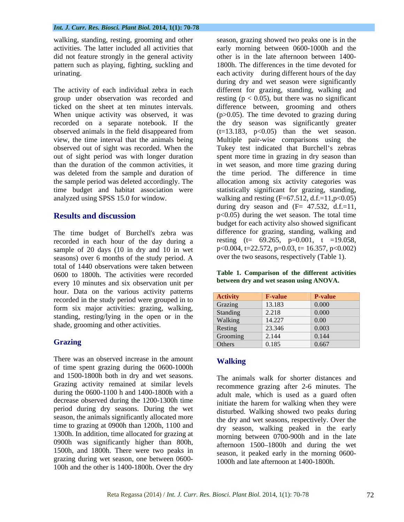walking, standing, resting, grooming and other did not feature strongly in the general activity pattern such as playing, fighting, suckling and

The time budget of Burchell's zebra was recorded in each hour of the day during a sample of 20 days (10 in dry and 10 in wet seasons) over 6 months of the study period. A total of 1440 observations were taken between 0600 to 1800h. The activities were recorded every 10 minutes and six observation unit per hour. Data on the various activity patterns recorded in the study period were grouped in to form six major activities: grazing, walking, standing, resting/lying in the open or in the shade, grooming and other activities.

There was an observed increase in the amount **Walking** of time spent grazing during the 0600-1000h and 1500-1800h both in dry and wet seasons. Grazing activity remained at similar levels during the 0600-1100 h and 1400-1800h with a decrease observed during the 1200-1300h time period during dry seasons. During the wet season, the animals significantly allocated more time to grazing at 0900h than 1200h, 1100 and 1300h. In addition, time allocated for grazing at 0900h was significantly higher than 800h, 1500h, and 1800h. There were two peaks in grazing during wet season, one between 0600- 100h and the other is 1400-1800h. Over the dry

activities. The latter included all activities that early morning between 0600-1000h and the urinating. each activity during different hours of the day The activity of each individual zebra in each different for grazing, standing, walking and group under observation was recorded and resting  $(p < 0.05)$ , but there was no significant ticked on the sheet at ten minutes intervals. difference between, grooming and others When unique activity was observed, it was (p>0.05). The time devoted to grazing during recorded on a separate notebook. If the the dry season was significantly greater observed animals in the field disappeared from  $(t=13.183, p<0.05)$  than the wet season. view, the time interval that the animals being Multiple pair-wise comparisons using the observed out of sight was recorded. When the Tukey test indicated that Burchell's zebras out of sight period was with longer duration spent more time in grazing in dry season than than the duration of the common activities, it in wet season, and more time grazing during was deleted from the sample and duration of the time period. The difference in time the sample period was deleted accordingly. The allocation among six activity categories was time budget and habitat association were statistically significant for grazing, standing, analyzed using SPSS 15.0 for window. walking and resting (F=67.512, d.f.=11,p<0.05) **Results and discussion**  $p<0.05$  during the wet season. The total time season, grazing showed two peaks one is in the other is in the late afternoon between 1400- 1800h. The differences in the time devoted for during dry and wet season were significantly during dry season and  $(F= 47.532, d.f.=11,$ budget for each activity also showed significant difference for grazing, standing, walking and resting  $(t= 69.265, p=0.001, t =19.058,$  $p<0.004$ ,  $t=22.572$ ,  $p=0.03$ ,  $t=16.357$ ,  $p<0.002$ ) over the two seasons, respectively (Table 1).

### **Table 1. Comparison of the different activities between dry and wet season using ANOVA.**

| nour. Data on the various activity patterns                                            |                 |                |                |
|----------------------------------------------------------------------------------------|-----------------|----------------|----------------|
| recorded in the study period were grouped in to                                        | <b>Activity</b> | <b>F-value</b> | <b>P-value</b> |
| form six major activities: grazing, walking,                                           | Grazing         | 13.183         | $\vert 0.000$  |
|                                                                                        | Standing        | 2.218          | 0.000          |
| standing, resting/lying in the open or in the<br>shade, grooming and other activities. | Walking         | 14.227         | $\vert 0.00$   |
|                                                                                        | Resting         | 23.346         | 0.003          |
|                                                                                        | Grooming        | 2.144          | 0.144          |
| <b>Grazing</b>                                                                         | Others          | 0.185          | 0.667          |

# **Walking**

The animals walk for shorter distances and recommence grazing after 2-6 minutes. The adult male, which is used as a guard often initiate the harem for walking when they were disturbed. Walking showed two peaks during the dry and wet seasons, respectively. Over the dry season, walking peaked in the early morning between 0700-900h and in the late afternoon 1500–1800h and during the wet season, it peaked early in the morning 0600- 1000h and late afternoon at 1400-1800h.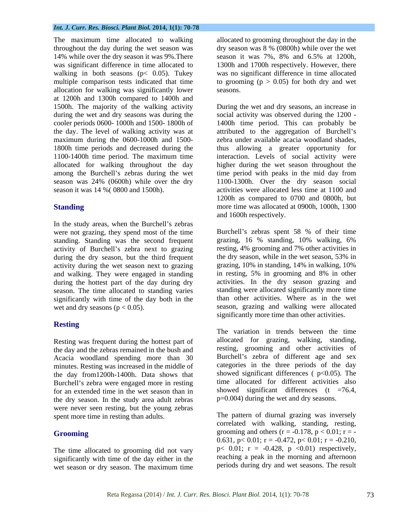The maximum time allocated to walking allocated to grooming throughout the day in the throughout the day during the wet season was dry season was  $8\%$  (0800h) while over the wet 14% while over the dry season it was 9%. There season it was 7%, 8% and 6.5% at 1200h, was significant difference in time allocated to walking in both seasons (p< 0.05). Tukey was no significant difference in time allocated multiple comparison tests indicated that time  $\qquad \qquad$  to grooming ( $p > 0.05$ ) for both dry and wet allocation for walking was significantly lower at 1200h and 1300h compared to 1400h and 1500h. The majority of the walking activity During the wet and dry seasons, an increase in maximum during the 0600-1000h and 1500-

In the study areas, when the Burchell's zebras were not grazing, they spend most of the time<br>standing Standing was the second frequent standing, 16 % standing, 10% walking, 6% standing. Standing was the second frequent activity of Burchell's zebra next to grazing during the dry season, but the third frequent the dry season, while in the wet season, 53% in activity during the wet season next to grazing during the hottest part of the day during dry season. The time allocated to standing varies significantly with time of the day both in the

### **Resting**

Resting was frequent during the hottest part of the day and the zebras remained in the bush and Acacia woodland spending more than 30 minutes. Resting was increased in the middle of the day from1200h-1400h. Data shows that Burchell's zebra were engaged more in resting for an extended time in the wet season than in the dry season. In the study area adult zebras were never seen resting, but the young zebras spent more time in resting than adults.

The time allocated to grooming did not vary significantly with time of the day either in the wet season or dry season. The maximum time

dry season was 8 % (0800h) while over the wet season it was 7%, 8% and 6.5% at 1200h, 1300h and 1700h respectively. However, there seasons.

during the wet and dry seasons was during the social activity was observed during the 1200 cooler periods 0600- 1000h and 1500- 1800h of 1400h time period. This can probably be the day. The level of walking activity was at attributed to the aggregation of Burchell's 1800h time periods and decreased during the thus allowing a greater opportunity for 1100-1400h time period. The maximum time interaction. Levels of social activity were allocated for walking throughout the day higher during the wet season throughout the among the Burchell's zebras during the wet time period with peaks in the mid day from season was 24% (0600h) while over the dry 1100-1300h. Over the dry season social season it was 14 %( 0800 and 1500h). activities were allocated less time at 1100 and **Standing** more time was allocated at 0900h, 1000h, 1300 During the wet and dry seasons, an increase in zebra under available acacia woodland shades, 1200h as compared to 0700 and 0800h, but and 1600h respectively.

and walking. They were engaged in standing in resting, 5% in grooming and 8% in other wet and dry seasons ( $p < 0.05$ ). Season, grazing and walking were allocated Burchell's zebras spent 58 % of their time grazing, 16 % standing, 10% walking, 6% resting, 4% grooming and 7% other activities in the dry season, while in the wet season, 53% in grazing, 10% in standing, 14% in walking, 10% activities. In the dry season grazing and standing were allocated significantly more time than other activities. Where as in the wet significantly more time than other activities.

> The variation in trends between the time allocated for grazing, walking, standing, resting, grooming and other activities of Burchell's zebra of different age and sex categories in the three periods of the day showed significant differences  $( p<0.05)$ . The time allocated for different activities also showed significant differences  $(t = 76.4,$ p=0.004) during the wet and dry seasons.

**Grooming** grooming and others  $(r = -0.178, p < 0.01; r = -1.0178, p < 0.01$ The pattern of diurnal grazing was inversely correlated with walking, standing, resting, 0.631,  $p < 0.01$ ;  $r = -0.472$ ,  $p < 0.01$ ;  $r = -0.210$ , p< 0.01;  $r = -0.428$ ,  $p \le 0.01$  respectively, reaching a peak in the morning and afternoon periods during dry and wet seasons. The result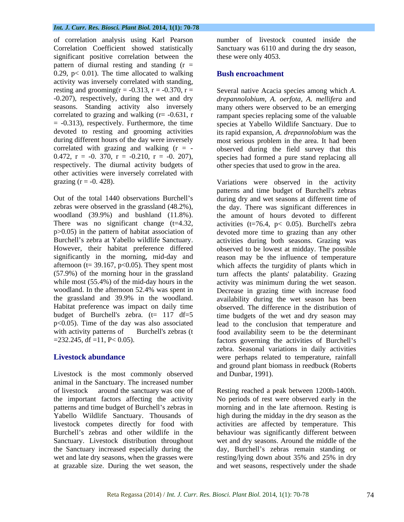of correlation analysis using Karl Pearson Correlation Coefficient showed statistically Sanctuary was 6110 and during thedry season, significant positive correlation between the pattern of diurnal resting and standing  $(r =$ 0.29,  $p < 0.01$ ). The time allocated to walking activity was inversely correlated with standing, resting and grooming( $r = -0.313$ ,  $r = -0.370$ ,  $r =$  Several native Acacia species among which *A*. -0.207), respectively, during the wet and dry *drepannolobium, A. oerfota, A. mellifera* and seasons. Standing activity also inversely many others were observed to be an emerging correlated to grazing and walking  $(r = -0.631, r$  rampant species replacing some of the valuable = -0.313), respectively. Furthermore, the time species at Yabello Wildlife Sanctuary. Dueto devoted to resting and grooming activities its rapid expansion, *A. drepannolobium* was the during different hours of the day were inversely most serious problem in the area. It had been correlated with grazing and walking  $(r = -$  observed during the field survey that this 0.472,  $r = -0.370$ ,  $r = -0.210$ ,  $r = -0.207$ ), species had formed a pure stand replacing all respectively. The diurnal activity budgets of other activities were inversely correlated with grazing (r = -0. 428). Variations were observed in the activity

However, their habitat preference differed

Livestock is the most commonly observed animal in the Sanctuary. The increased number of livestock around the sanctuary was one of Resting reached a peak between 1200h-1400h. the important factors affecting the activity No periods of rest were observed early in the patterns and time budget of Burchell's zebras in morning and in the late afternoon. Resting is Yabello Wildlife Sanctuary. Thousands of high during the midday in the dry season as the livestock competes directly for food with activities are affected by temperature. This Burchell's zebras and other wildlife in the behaviour was significantly different between Sanctuary. Livestock distribution throughout the Sanctuary increased especially during the day, Burchell's zebras remain standing or wet and late dry seasons, when the grasses were resting/lying down about 35% and 25% in dry

number of livestock counted inside the these were only 4053.

### **Bush encroachment**

other species that used to grow in the area.

patterns and time budget of Burchell's zebras<br>Out of the total 1440 observations Burchell's during dry and wet seasons at different time of zebras were observed in the grassland (48.2%), the day. There was significant differences in woodland (39.9%) and bushland (11.8%). the amount of hours devoted to different There was no significant change  $(t=4.32, \cdot$  activities  $(t=76.4, \cdot p < 0.05)$ . Burchell's zebra p>0.05) in the pattern of habitat association of devoted more time to grazing than any other Burchell's zebra at Yabello wildlife Sanctuary. <br>activities during both seasons. Grazing was significantly in the morning, mid-day and reason may be the influence of temperature afternoon ( $t = 39.167$ ,  $p < 0.05$ ). They spent most which affects the turgidity of plants which in (57.9%) of the morning hour in the grassland turn affects the plants' palatability. Grazing while most (55.4%) of the mid-day hours in the activity was minimum during the wet season. woodland. In the afternoon 52.4% was spent in Decrease in grazing time with increase food the grassland and 39.9% in the woodland. availability during the wet season has been Habitat preference was impact on daily time observed. The difference in the distribution of budget of Burchell's zebra. (t= 117 df=5 time budgets of the wet and dry season may p<0.05). Time of the day was also associated lead to the conclusion that temperature and with activity patterns of Burchell's zebras (t food availability seem to be the determinant =232.245, df =11, P< 0.05). factors governing the activities of Burchell s **Livestock abundance were perhaps related to temperature**, rainfall patterns and time budget of Burchell's zebras during dry and wet seasons at different time of observed to be lowest at midday. The possible zebra. Seasonal variations in daily activities and ground plant biomass in reedbuck (Roberts and Dunbar, 1991).

at grazable size. During the wet season, the and wet seasons, respectively under the shadewet and dry seasons. Around the middle of the resting/lying down about 35% and 25% in dry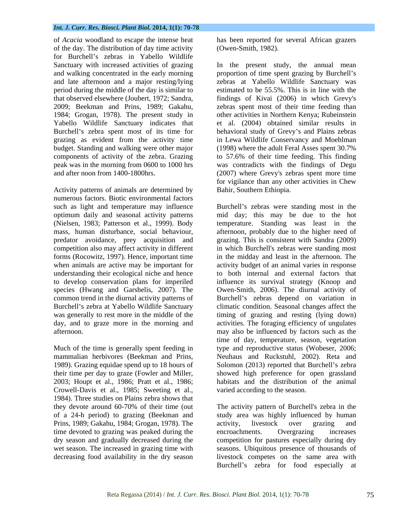of *Acacia* woodland to escape the intense heat of the day. The distribution of day time activity for Burchell's zebras in Yabello Wildlife 1984; Grogan, 1978). The present study in components of activity of the zebra. Grazing to 57.6% of their time feeding. This finding

Activity patterns of animals are determined by numerous factors. Biotic environmental factors understanding their ecological niche and hence day, and to graze more in the morning and

mammalian herbivores (Beekman and Prins, their time per day to graze (Fowler and Miller, Crowell-Davis et al., 1985; Sweeting et al., varied according to the season.<br>1984). Three studies on Plains zebra shows that of a 24-h period) to grazing (Beekman and Prins, 1989; Gakahu, 1984; Grogan, 1978). The time devoted to grazing was peaked during the encroachments. Overgrazing increases dry season and gradually decreased during the

has been reported for several African grazers (Owen-Smith, 1982).

Sanctuary with increased activities of grazing In the present study, the annual mean and walking concentrated in the early morning proportion of time spent grazing by Burchell's and late afternoon and a major resting/lying zebras at Yabello Wildlife Sanctuary was period during the middle of the day is similar to estimated to be 55.5%. This is in line with the that observed elsewhere (Joubert, 1972; Sandra, findings of Kivai (2006) in which Grevy's 2009; Beekman and Prins, 1989; Gakahu, zebras spent most of their time feeding than Yabello Wildlife Sanctuary indicates that et al. (2004) obtained similar results in Burchell's zebra spent most of its time for behavioral study of Grevy's and Plains zebras grazing as evident from the activity time in Lewa Wildlife Conservancy and Moehlman budget. Standing and walking were other major (1998) where the adult Feral Asses spent 30.7% peak was in the morning from 0600 to 1000 hrs was contradicts with the findings of Degu and after noon from 1400-1800hrs. (2007) where Grevy's zebras spent more time other activities in Northern Kenya; Rubeinstein to 57.6% of their time feeding. This finding for vigilance than any other activities in Chew Bahir, Southern Ethiopia.

such as light and temperature may influence Burchell's zebras were standing most in the optimum daily and seasonal activity patterns mid day; this may be due to the hot (Nielsen, 1983; Patterson et al., 1999). Body temperature. Standing was least in the mass, human disturbance, social behaviour, afternoon, probably due to the higher need of predator avoidance, prey acquisition and grazing. This is consistent with Sandra (2009) competition also may affect activity in different in which Burchell's zebras were standing most forms (Rocowitz, 1997). Hence, important time in the midday and least in the afternoon. The when animals are active may be important for activity budget of an animal varies in response to develop conservation plans for imperiled influence its survival strategy (Knoop and species (Hwang and Garshelis, 2007). The Owen-Smith, 2006). The diurnal activity of common trend in the diurnal activity patterns of Burchell's zebras depend on variation in Burchell's zebra at Yabello Wildlife Sanctuary climatic condition. Seasonal changes affect the was generally to rest more in the middle of the timing of grazing and resting (lying down) afternoon. may also be influenced by factors such as the Much of the time is generally spent feeding in type and reproductive status (Wobeser, 2006; 1989). Grazing equidae spend up to 18 hours of Solomon (2013) reported that Burchell's zebra 2003; Houpt et al., 1986; Pratt et al., 1986; habitats and the distribution of the animal to both internal and external factors that activities. The foraging efficiency of ungulates time of day, temperature, season, vegetation Neuhaus and Ruckstuhl, 2002). Reta and showed high preference for open grassland varied according to the season.

they devote around 60-70% of their time (out wet season. The increased in grazing time with seasons. Ubiquitous presence of thousands of decreasing food availability in the dry season livestock competes on the same area with The activity pattern of Burchell's zebra in the study area was highly influenced by human activity, livestock over grazing and encroachments. Overgrazing increases competition for pastures especially during dry Burchell's zebra for food especially at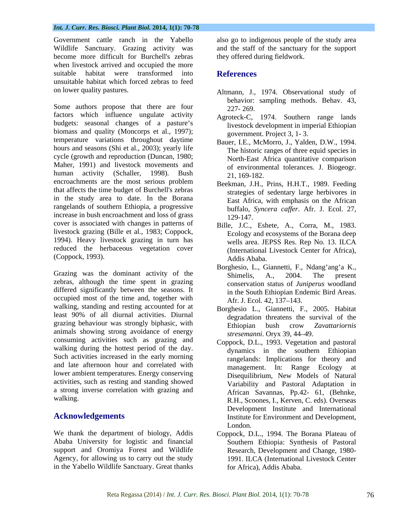Government cattle ranch in the Yabello also go to indigenous people of the study area Wildlife Sanctuary. Grazing activity was and the staff of the sanctuary for the support become more difficult for Burchell's zebras when livestock arrived and occupied the more suitable habitat were transformed into **References** unsuitable habitat which forced zebras to feed

Some authors propose that there are four 227-269. factors which influence ungulate activity budgets: seasonal changes of a pasture's biomass and quality (Moncorps et al., 1997); temperature variations throughout daytime hours and seasons (Shi et al., 2003); yearly life cycle (growth and reproduction (Duncan, 1980; Maher, 1991) and livestock movements and human activity (Schaller, 1998). Bush 21, 169-182. encroachments are the most serious problem that affects the time budget of Burchell's zebras in the study area to date. In the Borana rangelands of southern Ethiopia, a progressive increase in bush encroachment and loss of grass 129-147. cover is associated with changes in patterns of livestock grazing (Bille et al., 1983; Coppock, 1994). Heavy livestock grazing in turn has reduced the herbaceous vegetation cover (Coppock, 1993).

zebras, although the time spent in grazing differed significantly between the seasons. It occupied most of the time and, together with Afr. J. Ecol. 42, 137–143. walking, standing and resting accounted for at Borghesio L., Giannetti, F., 2005. Habitat least 90% of all diurnal activities. Diurnal grazing behaviour was strongly biphasic, with<br>Ethiopian bush crow Zavattariornis animals showing strong avoidance of energy stressmanni. Oryx 39, 44–49. consuming activities such as grazing and walking during the hottest period of the day. Such activities increased in the early morning and late afternoon hour and correlated with lower ambient temperatures. Energy conserving activities, such as resting and standing showed a strong inverse correlation with grazing and

Ababa University for logistic and financial support and Oromiya Forest and Wildlife in the Yabello Wildlife Sanctuary. Great thanks

they offered during fieldwork.

### **References**

- on lower quality pastures. Altmann, J., 1974. Observational study of behavior: sampling methods. Behav. 43, 227- 269.
	- Agroteck-C, 1974. Southern range lands livestock development in imperial Ethiopian government. Project 3, 1- 3.
	- Bauer, I.E., McMorro, J., Yalden, D.W., 1994. The historic ranges of three equid species in North-East Africa quantitative comparison of environmental tolerances. J. Biogeogr. 21, 169-182.
	- Beekman, J.H., Prins, H.H.T., 1989. Feeding strategies of sedentary large herbivores in East Africa, with emphasis on the African buffalo, *Syncera caffer*. Afr. J. Ecol. 27, 129-147.
	- Bille, J.C., Eshete, A., Corra, M., 1983. Ecology and ecosystems of the Borana deep wells area. JEPSS Res. Rep No. 13. ILCA (International Livestock Center for Africa), Addis Ababa.
- Grazing was the dominant activity of the<br>
Grazing was the dominant activity of the<br>
Shimelis A 2004 The present Borghesio, L., Giannetti, F., Ndang'ang'a K., Shimelis, A., 2004. The present conservation status of *Juniperus* woodland in the South Ethiopian Endemic Bird Areas. Afr. J. Ecol. 42, 137–143.
	- degradation threatens the survival of the Ethiopian bush crow *Zavattariornis stresemanni*. Oryx 39, 44 49.
- walking. The R.H., Scoones, I., Kerven, C. eds). Overseas Acknowledgements **Acknowledgements Environment and Development**, Coppock, D.L., 1993. Vegetation and pastoral dynamics in the southern Ethiopian rangelands: Implications for theory and management. In: Range Ecology at Disequilibrium, New Models of Natural Variability and Pastoral Adaptation in African Savannas, Pp.42- 61, (Behnke, Development Institute and International London.
- We thank the department of biology, Addis Coppock, D.L., 1994. The Borana Plateau of Agency, for allowing us to carry out the study 1991. ILCA (International Livestock Center Southern Ethiopia: Synthesis of Pastoral Research, Development and Change, 1980 for Africa), Addis Ababa.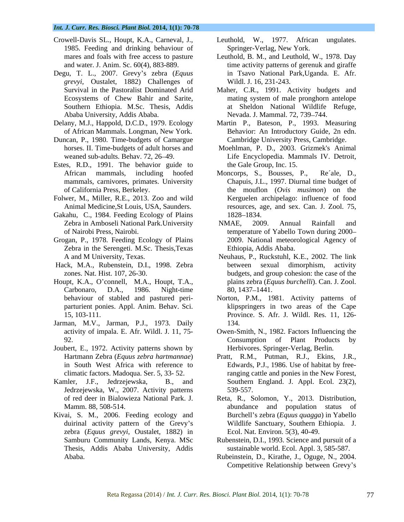- Crowell-Davis SL., Houpt, K.A., Carneval, J., 1985. Feeding and drinking behaviour of
- Degu, T. L., 2007. Grevy s zebra (*Equus grevyi*, Oustalet, 1882) Challenges of Southern Ethiopia. M.Sc. Thesis, Addis
- 
- Duncan, P., 1980. Time-budgets of Camargue
- Estes, R.D., 1991. The behavior guide to
- Folwer, M., Miller, R.E., 2013. Zoo and wild
- Gakahu, C., 1984. Feeding Ecology of Plains 1828–1834.
- Grogan, P., 1978. Feeding Ecology of Plains Zebra in the Serengeti. M.Sc. Thesis,Texas
- 
- Houpt, K.A., O'connell, M.A., Houpt, T.A.,
- Jarman, M.V., Jarman, P.J., 1973. Daily
- Joubert, E., 1972. Activity patterns shown by
- Jedrzejewska, W., 2007. Activity patterns
- Kivai, S. M., 2006. Feeding ecology and zebra (*Equus grevyi*, Oustalet, 1882) in Thesis, Addis Ababa University, Addis
- Leuthold, W.,  $1977$ . African Springer-Verlag, New York.
- mares and foals with free access to pasture Leuthold, B. M., and Leuthold, W., 1978. Day and water. J. Anim. Sc. 60(4), 883-889. time activity patterns of gerenuk and giraffe in Tsavo National Park,Uganda. E. Afr. Wildl. J. 16, 231-243.
- Survival in the Pastoralist Dominated Arid Maher, C.R., 1991. Activity budgets and Ecosystems of Chew Bahir and Sarite, mating system of male pronghorn antelope Ababa University, Addis Ababa. Nevada. J. Mammal. 72, 739 744. at Sheldon National Wildlife Refuge,
- Delany, M.J., Happold, D.C.D., 1979. Ecology Martin P., Bateson, P., 1993. Measuring of African Mammals. Longman, New York. Behavior: An Introductory Guide, 2n edn. Cambridge University Press, Cambridge.
	- horses. II. Time-budgets of adult horses and Moehlman, P. D., 2003. Grizmek's Animal weaned sub-adults. Behav. 72, 26 49. Life Encyclopedia. Mammals IV. Detroit, the Gale Group, Inc. 15.
	- African mammals, including hoofed Moncorps, S., Bousses, P., Re´ale, D., mammals, carnivores, primates. University Chapuis, J.L., 1997. Diurnal time budget of of California Press, Berkeley. the mouflon (*Ovis musimon*) on the Animal Medicine,St Louis, USA, Saunders. resources, age, and sex. Can. J. Zool. 75, Kerguelen archipelago: influence of food 1828 1834.
	- Zebra in Amboseli National Park.University MMAE, 2009. Annual Rainfall and of Nairobi Press, Nairobi. temperature of Yabello Town during 2000 NMAE, 2009. Annual Rainfall and 2009. National meteorological Agency of Ethiopia, Addis Ababa.
- A and M University, Texas. Neuhaus, P., Ruckstuhl, K.E., 2002. The link Hack, M.A., Rubenstein, D.I., 1998. Zebra zones. Nat. Hist. 107, 26-30. budgets, and group cohesion: the case of the Carbonaro, D.A., 1986. Night-time between sexual dimorphism, plains zebra (*Equus burchelli*). Can. J. Zool. 80, 1437 1441.
	- behaviour of stabled and pastured peri- Norton, P.M., 1981. Activity patterns of parturient ponies. Appl. Anim. Behav. Sci. klipspringers in two areas of the Cape 15, 103-111. Province. S. Afr. J. Wildl. Res. 11, 126- 134.
	- activity of impala. E. Afr. Wildl. J. 11, 75- Owen-Smith, N., 1982. Factors Influencing the 92. Consumption of Plant Products by Herbivores. Springer-Verlag, Berlin.
- Hartmann Zebra (*Equus zebra hartmannae*) in South West Africa with reference to Edwards, P.J., 1986. Use of habitat by freeclimatic factors. Madoqua. Ser. 5, 33- 52. ranging cattle and ponies in the New Forest, Kamler, J.F., Jedrzejewska, B., and Southern England. J. Appl. Ecol. 23(2), Pratt, R.M., Putman, R.J., Ekins, J.R., Edwards, P.J., 1986. Use of habitat by free-539-557.
	- of red deer in Bialowieza National Park. J. Reta, R., Solomon, Y., 2013. Distribution, Mamm. 88, 508-514. abundance and population status of duirinal activity pattern of the Grevy's Wildlife Sanctuary, Southern Ethiopia. J. zebra (*Equus grevyi*, Oustalet, 1882) in Ecol. Nat. Environ. 5(3), 40-49. Burchell's zebra (*Equus quagga*) in Yabello Wildlife Sanctuary, Southern Ethiopia. J. Ecol. Nat. Environ. 5(3), 40-49.
	- Samburu Community Lands, Kenya. MSc Rubenstein, D.I., 1993. Science and pursuit of a sustainable world. Ecol. Appl. 3, 585-587.
	- Ababa. Rubeinstein, D., Kirathe, J., Oguge, N., 2004. Competitive Relationship between Grevy's